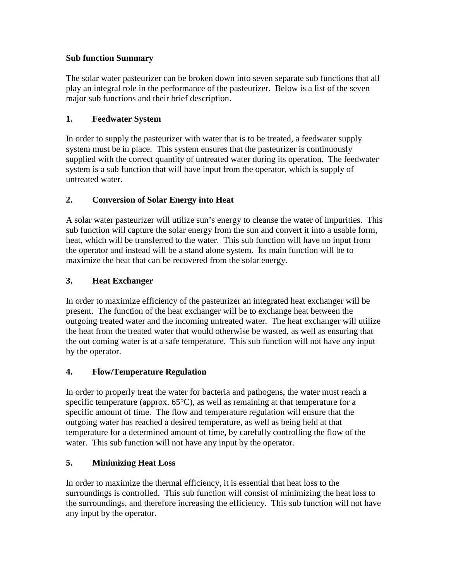#### **Sub function Summary**

The solar water pasteurizer can be broken down into seven separate sub functions that all play an integral role in the performance of the pasteurizer. Below is a list of the seven major sub functions and their brief description.

# **1. Feedwater System**

In order to supply the pasteurizer with water that is to be treated, a feedwater supply system must be in place. This system ensures that the pasteurizer is continuously supplied with the correct quantity of untreated water during its operation. The feedwater system is a sub function that will have input from the operator, which is supply of untreated water.

# **2. Conversion of Solar Energy into Heat**

A solar water pasteurizer will utilize sun's energy to cleanse the water of impurities. This sub function will capture the solar energy from the sun and convert it into a usable form, heat, which will be transferred to the water. This sub function will have no input from the operator and instead will be a stand alone system. Its main function will be to maximize the heat that can be recovered from the solar energy.

# **3. Heat Exchanger**

In order to maximize efficiency of the pasteurizer an integrated heat exchanger will be present. The function of the heat exchanger will be to exchange heat between the outgoing treated water and the incoming untreated water. The heat exchanger will utilize the heat from the treated water that would otherwise be wasted, as well as ensuring that the out coming water is at a safe temperature. This sub function will not have any input by the operator.

# **4. Flow/Temperature Regulation**

In order to properly treat the water for bacteria and pathogens, the water must reach a specific temperature (approx.  $65^{\circ}$ C), as well as remaining at that temperature for a specific amount of time. The flow and temperature regulation will ensure that the outgoing water has reached a desired temperature, as well as being held at that temperature for a determined amount of time, by carefully controlling the flow of the water. This sub function will not have any input by the operator.

# **5. Minimizing Heat Loss**

In order to maximize the thermal efficiency, it is essential that heat loss to the surroundings is controlled. This sub function will consist of minimizing the heat loss to the surroundings, and therefore increasing the efficiency. This sub function will not have any input by the operator.